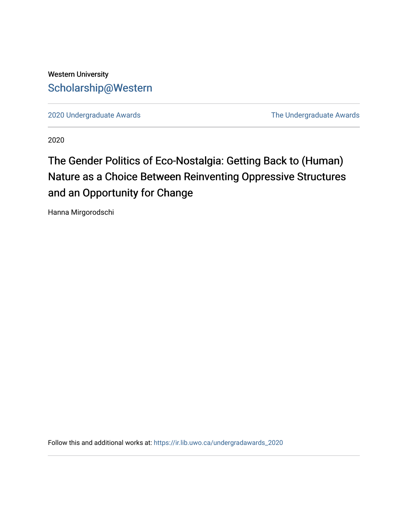### Western University [Scholarship@Western](https://ir.lib.uwo.ca/)

[2020 Undergraduate Awards](https://ir.lib.uwo.ca/undergradawards_2020) [The Undergraduate Awards](https://ir.lib.uwo.ca/ungradawards) 

2020

## The Gender Politics of Eco-Nostalgia: Getting Back to (Human) Nature as a Choice Between Reinventing Oppressive Structures and an Opportunity for Change

Hanna Mirgorodschi

Follow this and additional works at: [https://ir.lib.uwo.ca/undergradawards\\_2020](https://ir.lib.uwo.ca/undergradawards_2020?utm_source=ir.lib.uwo.ca%2Fundergradawards_2020%2F11&utm_medium=PDF&utm_campaign=PDFCoverPages)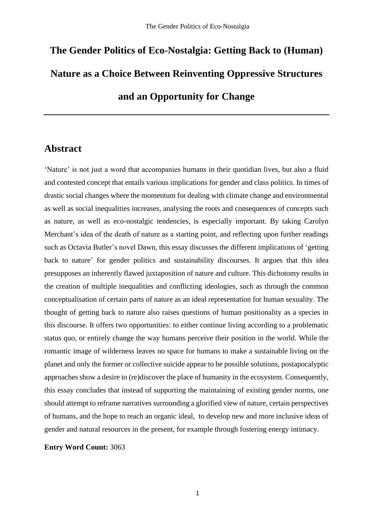# **The Gender Politics of Eco-Nostalgia: Getting Back to (Human) Nature as a Choice Between Reinventing Oppressive Structures and an Opportunity for Change**

#### **Abstract**

'Nature' is not just a word that accompanies humans in their quotidian lives, but also a fluid and contested concept that entails various implications for gender and class politics. In times of drastic social changes where the momentum for dealing with climate change and environmental as well as social inequalities increases, analysing the roots and consequences of concepts such as nature, as well as eco-nostalgic tendencies, is especially important. By taking Carolyn Merchant's idea of the death of nature as a starting point, and reflecting upon further readings such as Octavia Butler's novel Dawn, this essay discusses the different implications of 'getting back to nature' for gender politics and sustainability discourses. It argues that this idea presupposes an inherently flawed juxtaposition of nature and culture. This dichotomy results in the creation of multiple inequalities and conflicting ideologies, such as through the common conceptualisation of certain parts of nature as an ideal representation for human sexuality. The thought of getting back to nature also raises questions of human positionality as a species in this discourse. It offers two opportunities: to either continue living according to a problematic status quo, or entirely change the way humans perceive their position in the world. While the romantic image of wilderness leaves no space for humans to make a sustainable living on the planet and only the former or collective suicide appear to be possible solutions, postapocalyptic approaches show a desire to (re)discover the place of humanity in the ecosystem. Consequently, this essay concludes that instead of supporting the maintaining of existing gender norms, one should attempt to reframe narratives surrounding a glorified view of nature, certain perspectives of humans, and the hope to reach an organic ideal, to develop new and more inclusive ideas of gender and natural resources in the present, for example through fostering energy intimacy.

**Entry Word Count:** 3063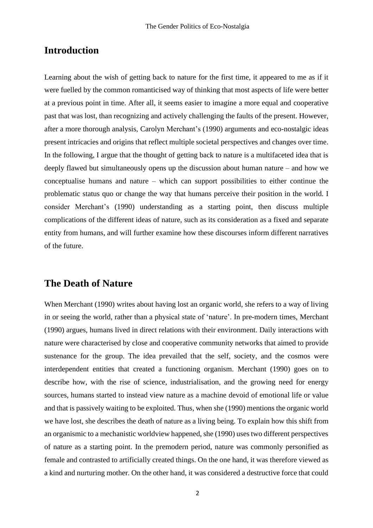#### **Introduction**

Learning about the wish of getting back to nature for the first time, it appeared to me as if it were fuelled by the common romanticised way of thinking that most aspects of life were better at a previous point in time. After all, it seems easier to imagine a more equal and cooperative past that was lost, than recognizing and actively challenging the faults of the present. However, after a more thorough analysis, Carolyn Merchant's (1990) arguments and eco-nostalgic ideas present intricacies and origins that reflect multiple societal perspectives and changes over time. In the following, I argue that the thought of getting back to nature is a multifaceted idea that is deeply flawed but simultaneously opens up the discussion about human nature – and how we conceptualise humans and nature – which can support possibilities to either continue the problematic status quo or change the way that humans perceive their position in the world. I consider Merchant's (1990) understanding as a starting point, then discuss multiple complications of the different ideas of nature, such as its consideration as a fixed and separate entity from humans, and will further examine how these discourses inform different narratives of the future.

#### **The Death of Nature**

When Merchant (1990) writes about having lost an organic world, she refers to a way of living in or seeing the world, rather than a physical state of 'nature'. In pre-modern times, Merchant (1990) argues, humans lived in direct relations with their environment. Daily interactions with nature were characterised by close and cooperative community networks that aimed to provide sustenance for the group. The idea prevailed that the self, society, and the cosmos were interdependent entities that created a functioning organism. Merchant (1990) goes on to describe how, with the rise of science, industrialisation, and the growing need for energy sources, humans started to instead view nature as a machine devoid of emotional life or value and that is passively waiting to be exploited. Thus, when she (1990) mentions the organic world we have lost, she describes the death of nature as a living being. To explain how this shift from an organismic to a mechanistic worldview happened, she (1990) uses two different perspectives of nature as a starting point. In the premodern period, nature was commonly personified as female and contrasted to artificially created things. On the one hand, it was therefore viewed as a kind and nurturing mother. On the other hand, it was considered a destructive force that could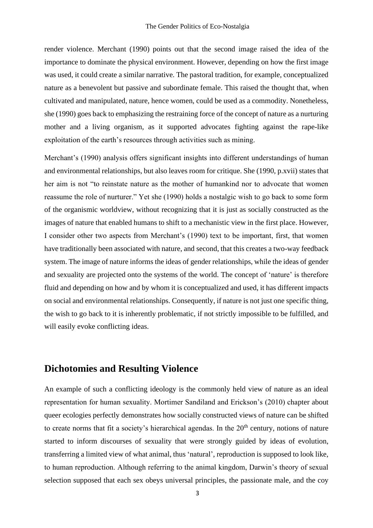render violence. Merchant (1990) points out that the second image raised the idea of the importance to dominate the physical environment. However, depending on how the first image was used, it could create a similar narrative. The pastoral tradition, for example, conceptualized nature as a benevolent but passive and subordinate female. This raised the thought that, when cultivated and manipulated, nature, hence women, could be used as a commodity. Nonetheless, she (1990) goes back to emphasizing the restraining force of the concept of nature as a nurturing mother and a living organism, as it supported advocates fighting against the rape-like exploitation of the earth's resources through activities such as mining.

Merchant's (1990) analysis offers significant insights into different understandings of human and environmental relationships, but also leaves room for critique. She (1990, p.xvii) states that her aim is not "to reinstate nature as the mother of humankind nor to advocate that women reassume the role of nurturer." Yet she (1990) holds a nostalgic wish to go back to some form of the organismic worldview, without recognizing that it is just as socially constructed as the images of nature that enabled humans to shift to a mechanistic view in the first place. However, I consider other two aspects from Merchant's (1990) text to be important, first, that women have traditionally been associated with nature, and second, that this creates a two-way feedback system. The image of nature informs the ideas of gender relationships, while the ideas of gender and sexuality are projected onto the systems of the world. The concept of 'nature' is therefore fluid and depending on how and by whom it is conceptualized and used, it has different impacts on social and environmental relationships. Consequently, if nature is not just one specific thing, the wish to go back to it is inherently problematic, if not strictly impossible to be fulfilled, and will easily evoke conflicting ideas.

#### **Dichotomies and Resulting Violence**

An example of such a conflicting ideology is the commonly held view of nature as an ideal representation for human sexuality. Mortimer Sandiland and Erickson's (2010) chapter about queer ecologies perfectly demonstrates how socially constructed views of nature can be shifted to create norms that fit a society's hierarchical agendas. In the  $20<sup>th</sup>$  century, notions of nature started to inform discourses of sexuality that were strongly guided by ideas of evolution, transferring a limited view of what animal, thus 'natural', reproduction is supposed to look like, to human reproduction. Although referring to the animal kingdom, Darwin's theory of sexual selection supposed that each sex obeys universal principles, the passionate male, and the coy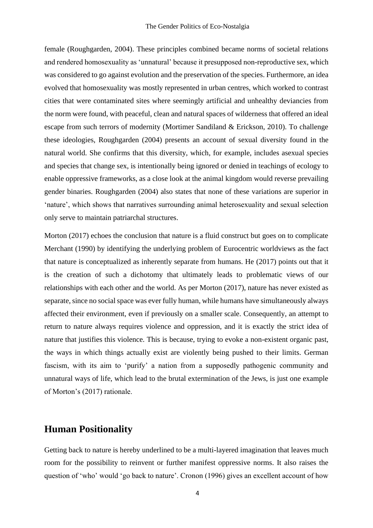female (Roughgarden, 2004). These principles combined became norms of societal relations and rendered homosexuality as 'unnatural' because it presupposed non-reproductive sex, which was considered to go against evolution and the preservation of the species. Furthermore, an idea evolved that homosexuality was mostly represented in urban centres, which worked to contrast cities that were contaminated sites where seemingly artificial and unhealthy deviancies from the norm were found, with peaceful, clean and natural spaces of wilderness that offered an ideal escape from such terrors of modernity (Mortimer Sandiland & Erickson, 2010). To challenge these ideologies, Roughgarden (2004) presents an account of sexual diversity found in the natural world. She confirms that this diversity, which, for example, includes asexual species and species that change sex, is intentionally being ignored or denied in teachings of ecology to enable oppressive frameworks, as a close look at the animal kingdom would reverse prevailing gender binaries. Roughgarden (2004) also states that none of these variations are superior in 'nature', which shows that narratives surrounding animal heterosexuality and sexual selection only serve to maintain patriarchal structures.

Morton (2017) echoes the conclusion that nature is a fluid construct but goes on to complicate Merchant (1990) by identifying the underlying problem of Eurocentric worldviews as the fact that nature is conceptualized as inherently separate from humans. He (2017) points out that it is the creation of such a dichotomy that ultimately leads to problematic views of our relationships with each other and the world. As per Morton (2017), nature has never existed as separate, since no social space was ever fully human, while humans have simultaneously always affected their environment, even if previously on a smaller scale. Consequently, an attempt to return to nature always requires violence and oppression, and it is exactly the strict idea of nature that justifies this violence. This is because, trying to evoke a non-existent organic past, the ways in which things actually exist are violently being pushed to their limits. German fascism, with its aim to 'purify' a nation from a supposedly pathogenic community and unnatural ways of life, which lead to the brutal extermination of the Jews, is just one example of Morton's (2017) rationale.

#### **Human Positionality**

Getting back to nature is hereby underlined to be a multi-layered imagination that leaves much room for the possibility to reinvent or further manifest oppressive norms. It also raises the question of 'who' would 'go back to nature'. Cronon (1996) gives an excellent account of how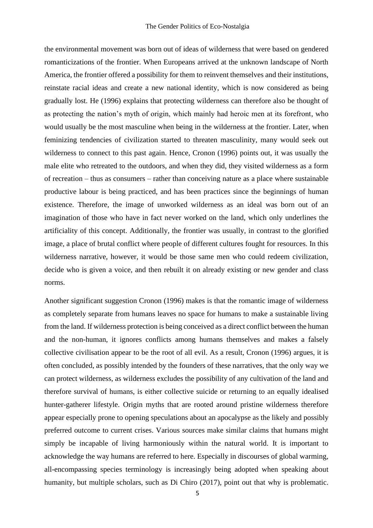the environmental movement was born out of ideas of wilderness that were based on gendered romanticizations of the frontier. When Europeans arrived at the unknown landscape of North America, the frontier offered a possibility for them to reinvent themselves and their institutions, reinstate racial ideas and create a new national identity, which is now considered as being gradually lost. He (1996) explains that protecting wilderness can therefore also be thought of as protecting the nation's myth of origin, which mainly had heroic men at its forefront, who would usually be the most masculine when being in the wilderness at the frontier. Later, when feminizing tendencies of civilization started to threaten masculinity, many would seek out wilderness to connect to this past again. Hence, Cronon (1996) points out, it was usually the male elite who retreated to the outdoors, and when they did, they visited wilderness as a form of recreation – thus as consumers – rather than conceiving nature as a place where sustainable productive labour is being practiced, and has been practices since the beginnings of human existence. Therefore, the image of unworked wilderness as an ideal was born out of an imagination of those who have in fact never worked on the land, which only underlines the artificiality of this concept. Additionally, the frontier was usually, in contrast to the glorified image, a place of brutal conflict where people of different cultures fought for resources. In this wilderness narrative, however, it would be those same men who could redeem civilization, decide who is given a voice, and then rebuilt it on already existing or new gender and class norms.

Another significant suggestion Cronon (1996) makes is that the romantic image of wilderness as completely separate from humans leaves no space for humans to make a sustainable living from the land. If wilderness protection is being conceived as a direct conflict between the human and the non-human, it ignores conflicts among humans themselves and makes a falsely collective civilisation appear to be the root of all evil. As a result, Cronon (1996) argues, it is often concluded, as possibly intended by the founders of these narratives, that the only way we can protect wilderness, as wilderness excludes the possibility of any cultivation of the land and therefore survival of humans, is either collective suicide or returning to an equally idealised hunter-gatherer lifestyle. Origin myths that are rooted around pristine wilderness therefore appear especially prone to opening speculations about an apocalypse as the likely and possibly preferred outcome to current crises. Various sources make similar claims that humans might simply be incapable of living harmoniously within the natural world. It is important to acknowledge the way humans are referred to here. Especially in discourses of global warming, all-encompassing species terminology is increasingly being adopted when speaking about humanity, but multiple scholars, such as Di Chiro (2017), point out that why is problematic.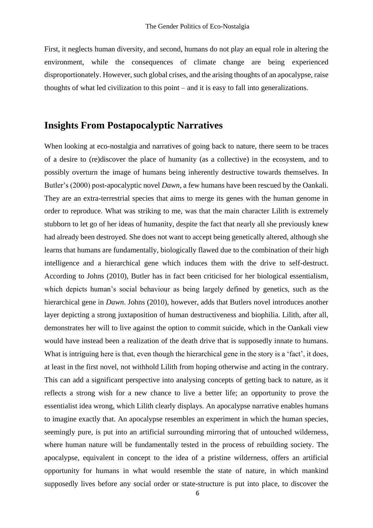First, it neglects human diversity, and second, humans do not play an equal role in altering the environment, while the consequences of climate change are being experienced disproportionately. However, such global crises, and the arising thoughts of an apocalypse, raise thoughts of what led civilization to this point – and it is easy to fall into generalizations.

#### **Insights From Postapocalyptic Narratives**

When looking at eco-nostalgia and narratives of going back to nature, there seem to be traces of a desire to (re)discover the place of humanity (as a collective) in the ecosystem, and to possibly overturn the image of humans being inherently destructive towards themselves. In Butler's (2000) post-apocalyptic novel *Dawn*, a few humans have been rescued by the Oankali. They are an extra-terrestrial species that aims to merge its genes with the human genome in order to reproduce. What was striking to me, was that the main character Lilith is extremely stubborn to let go of her ideas of humanity, despite the fact that nearly all she previously knew had already been destroyed. She does not want to accept being genetically altered, although she learns that humans are fundamentally, biologically flawed due to the combination of their high intelligence and a hierarchical gene which induces them with the drive to self-destruct. According to Johns (2010), Butler has in fact been criticised for her biological essentialism, which depicts human's social behaviour as being largely defined by genetics, such as the hierarchical gene in *Dawn*. Johns (2010), however, adds that Butlers novel introduces another layer depicting a strong juxtaposition of human destructiveness and biophilia. Lilith, after all, demonstrates her will to live against the option to commit suicide, which in the Oankali view would have instead been a realization of the death drive that is supposedly innate to humans. What is intriguing here is that, even though the hierarchical gene in the story is a 'fact', it does, at least in the first novel, not withhold Lilith from hoping otherwise and acting in the contrary. This can add a significant perspective into analysing concepts of getting back to nature, as it reflects a strong wish for a new chance to live a better life; an opportunity to prove the essentialist idea wrong, which Lilith clearly displays. An apocalypse narrative enables humans to imagine exactly that. An apocalypse resembles an experiment in which the human species, seemingly pure, is put into an artificial surrounding mirroring that of untouched wilderness, where human nature will be fundamentally tested in the process of rebuilding society. The apocalypse, equivalent in concept to the idea of a pristine wilderness, offers an artificial opportunity for humans in what would resemble the state of nature, in which mankind supposedly lives before any social order or state-structure is put into place, to discover the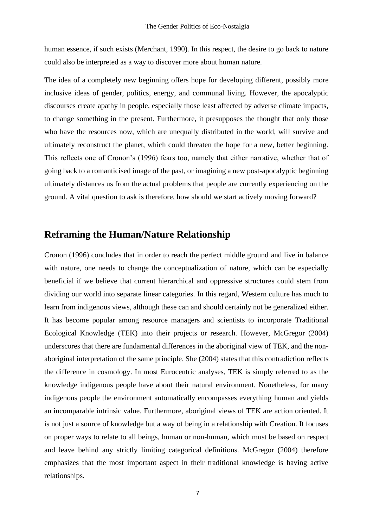human essence, if such exists (Merchant, 1990). In this respect, the desire to go back to nature could also be interpreted as a way to discover more about human nature.

The idea of a completely new beginning offers hope for developing different, possibly more inclusive ideas of gender, politics, energy, and communal living. However, the apocalyptic discourses create apathy in people, especially those least affected by adverse climate impacts, to change something in the present. Furthermore, it presupposes the thought that only those who have the resources now, which are unequally distributed in the world, will survive and ultimately reconstruct the planet, which could threaten the hope for a new, better beginning. This reflects one of Cronon's (1996) fears too, namely that either narrative, whether that of going back to a romanticised image of the past, or imagining a new post-apocalyptic beginning ultimately distances us from the actual problems that people are currently experiencing on the ground. A vital question to ask is therefore, how should we start actively moving forward?

#### **Reframing the Human/Nature Relationship**

Cronon (1996) concludes that in order to reach the perfect middle ground and live in balance with nature, one needs to change the conceptualization of nature, which can be especially beneficial if we believe that current hierarchical and oppressive structures could stem from dividing our world into separate linear categories. In this regard, Western culture has much to learn from indigenous views, although these can and should certainly not be generalized either. It has become popular among resource managers and scientists to incorporate Traditional Ecological Knowledge (TEK) into their projects or research. However, McGregor (2004) underscores that there are fundamental differences in the aboriginal view of TEK, and the nonaboriginal interpretation of the same principle. She (2004) states that this contradiction reflects the difference in cosmology. In most Eurocentric analyses, TEK is simply referred to as the knowledge indigenous people have about their natural environment. Nonetheless, for many indigenous people the environment automatically encompasses everything human and yields an incomparable intrinsic value. Furthermore, aboriginal views of TEK are action oriented. It is not just a source of knowledge but a way of being in a relationship with Creation. It focuses on proper ways to relate to all beings, human or non-human, which must be based on respect and leave behind any strictly limiting categorical definitions. McGregor (2004) therefore emphasizes that the most important aspect in their traditional knowledge is having active relationships.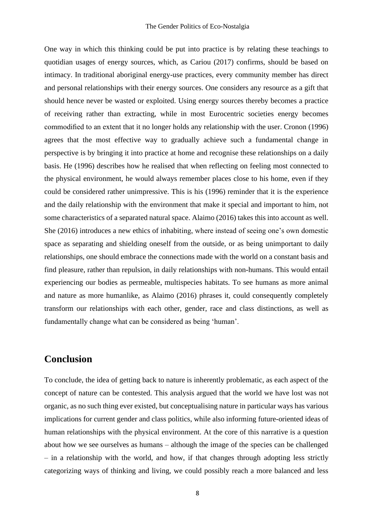One way in which this thinking could be put into practice is by relating these teachings to quotidian usages of energy sources, which, as Cariou (2017) confirms, should be based on intimacy. In traditional aboriginal energy-use practices, every community member has direct and personal relationships with their energy sources. One considers any resource as a gift that should hence never be wasted or exploited. Using energy sources thereby becomes a practice of receiving rather than extracting, while in most Eurocentric societies energy becomes commodified to an extent that it no longer holds any relationship with the user. Cronon (1996) agrees that the most effective way to gradually achieve such a fundamental change in perspective is by bringing it into practice at home and recognise these relationships on a daily basis. He (1996) describes how he realised that when reflecting on feeling most connected to the physical environment, he would always remember places close to his home, even if they could be considered rather unimpressive. This is his (1996) reminder that it is the experience and the daily relationship with the environment that make it special and important to him, not some characteristics of a separated natural space. Alaimo (2016) takes this into account as well. She (2016) introduces a new ethics of inhabiting, where instead of seeing one's own domestic space as separating and shielding oneself from the outside, or as being unimportant to daily relationships, one should embrace the connections made with the world on a constant basis and find pleasure, rather than repulsion, in daily relationships with non-humans. This would entail experiencing our bodies as permeable, multispecies habitats. To see humans as more animal and nature as more humanlike, as Alaimo (2016) phrases it, could consequently completely transform our relationships with each other, gender, race and class distinctions, as well as fundamentally change what can be considered as being 'human'.

#### **Conclusion**

To conclude, the idea of getting back to nature is inherently problematic, as each aspect of the concept of nature can be contested. This analysis argued that the world we have lost was not organic, as no such thing ever existed, but conceptualising nature in particular ways has various implications for current gender and class politics, while also informing future-oriented ideas of human relationships with the physical environment. At the core of this narrative is a question about how we see ourselves as humans – although the image of the species can be challenged – in a relationship with the world, and how, if that changes through adopting less strictly categorizing ways of thinking and living, we could possibly reach a more balanced and less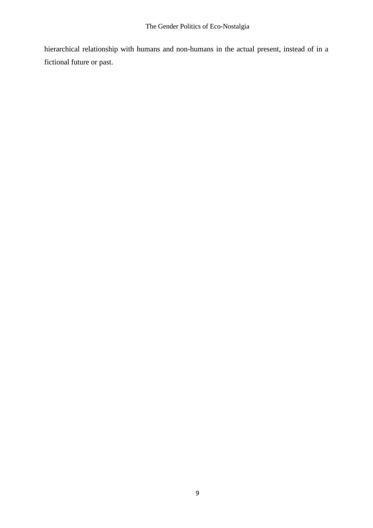hierarchical relationship with humans and non-humans in the actual present, instead of in a fictional future or past.